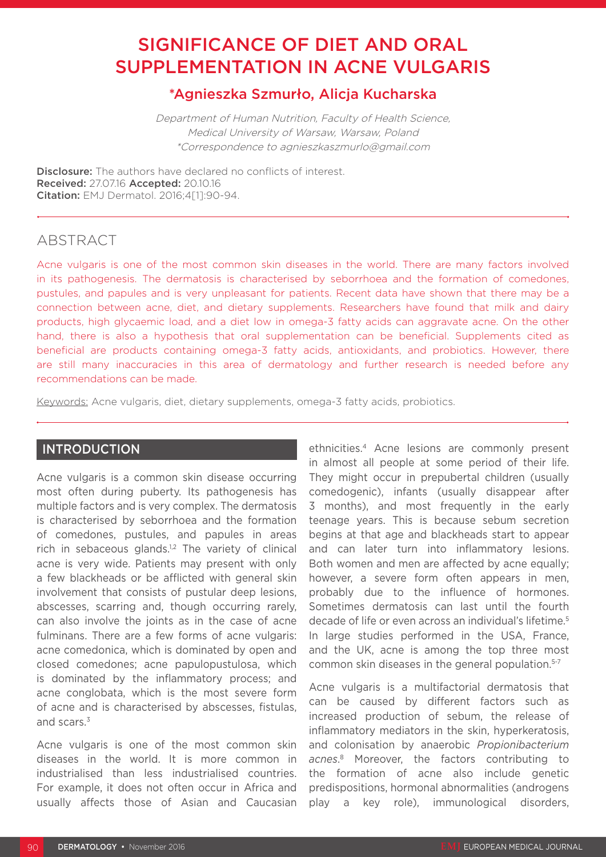# SIGNIFICANCE OF DIET AND ORAL SUPPLEMENTATION IN ACNE VULGARIS

## \*Agnieszka Szmurło, Alicja Kucharska

Department of Human Nutrition, Faculty of Health Science, Medical University of Warsaw, Warsaw, Poland \*Correspondence to agnieszkaszmurlo@gmail.com

**Disclosure:** The authors have declared no conflicts of interest. Received: 27.07.16 Accepted: 20.10.16 Citation: EMJ Dermatol. 2016;4[1]:90-94.

## ABSTRACT

Acne vulgaris is one of the most common skin diseases in the world. There are many factors involved in its pathogenesis. The dermatosis is characterised by seborrhoea and the formation of comedones, pustules, and papules and is very unpleasant for patients. Recent data have shown that there may be a connection between acne, diet, and dietary supplements. Researchers have found that milk and dairy products, high glycaemic load, and a diet low in omega-3 fatty acids can aggravate acne. On the other hand, there is also a hypothesis that oral supplementation can be beneficial. Supplements cited as beneficial are products containing omega-3 fatty acids, antioxidants, and probiotics. However, there are still many inaccuracies in this area of dermatology and further research is needed before any recommendations can be made.

Keywords: Acne vulgaris, diet, dietary supplements, omega-3 fatty acids, probiotics.

## INTRODUCTION

Acne vulgaris is a common skin disease occurring most often during puberty. Its pathogenesis has multiple factors and is very complex. The dermatosis is characterised by seborrhoea and the formation of comedones, pustules, and papules in areas rich in sebaceous glands.<sup>1,2</sup> The variety of clinical acne is very wide. Patients may present with only a few blackheads or be afflicted with general skin involvement that consists of pustular deep lesions, abscesses, scarring and, though occurring rarely, can also involve the joints as in the case of acne fulminans. There are a few forms of acne vulgaris: acne comedonica, which is dominated by open and closed comedones; acne papulopustulosa, which is dominated by the inflammatory process; and acne conglobata, which is the most severe form of acne and is characterised by abscesses, fistulas, and scars.<sup>3</sup>

Acne vulgaris is one of the most common skin diseases in the world. It is more common in industrialised than less industrialised countries. For example, it does not often occur in Africa and usually affects those of Asian and Caucasian ethnicities.4 Acne lesions are commonly present in almost all people at some period of their life. They might occur in prepubertal children (usually comedogenic), infants (usually disappear after 3 months), and most frequently in the early teenage years. This is because sebum secretion begins at that age and blackheads start to appear and can later turn into inflammatory lesions. Both women and men are affected by acne equally; however, a severe form often appears in men, probably due to the influence of hormones. Sometimes dermatosis can last until the fourth decade of life or even across an individual's lifetime.<sup>5</sup> In large studies performed in the USA, France, and the UK, acne is among the top three most common skin diseases in the general population.<sup>5-7</sup>

Acne vulgaris is a multifactorial dermatosis that can be caused by different factors such as increased production of sebum, the release of inflammatory mediators in the skin, hyperkeratosis, and colonisation by anaerobic *Propionibacterium acnes*. 8 Moreover, the factors contributing to the formation of acne also include genetic predispositions, hormonal abnormalities (androgens play a key role), immunological disorders,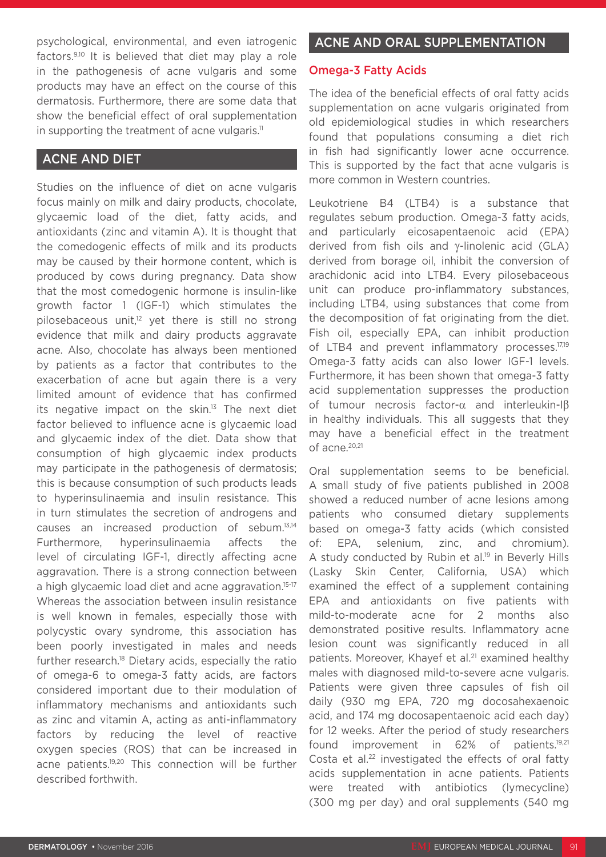psychological, environmental, and even iatrogenic factors.9,10 It is believed that diet may play a role in the pathogenesis of acne vulgaris and some products may have an effect on the course of this dermatosis. Furthermore, there are some data that show the beneficial effect of oral supplementation in supporting the treatment of acne vulgaris.<sup>11</sup>

## ACNE AND DIET

Studies on the influence of diet on acne vulgaris focus mainly on milk and dairy products, chocolate, glycaemic load of the diet, fatty acids, and antioxidants (zinc and vitamin A). It is thought that the comedogenic effects of milk and its products may be caused by their hormone content, which is produced by cows during pregnancy. Data show that the most comedogenic hormone is insulin-like growth factor 1 (IGF-1) which stimulates the pilosebaceous unit,<sup>12</sup> yet there is still no strong evidence that milk and dairy products aggravate acne. Also, chocolate has always been mentioned by patients as a factor that contributes to the exacerbation of acne but again there is a very limited amount of evidence that has confirmed its negative impact on the skin. $13$  The next diet factor believed to influence acne is glycaemic load and glycaemic index of the diet. Data show that consumption of high glycaemic index products may participate in the pathogenesis of dermatosis; this is because consumption of such products leads to hyperinsulinaemia and insulin resistance. This in turn stimulates the secretion of androgens and causes an increased production of sebum.13,14 Furthermore, hyperinsulinaemia affects the level of circulating IGF-1, directly affecting acne aggravation. There is a strong connection between a high glycaemic load diet and acne aggravation.15-17 Whereas the association between insulin resistance is well known in females, especially those with polycystic ovary syndrome, this association has been poorly investigated in males and needs further research.18 Dietary acids, especially the ratio of omega-6 to omega-3 fatty acids, are factors considered important due to their modulation of inflammatory mechanisms and antioxidants such as zinc and vitamin A, acting as anti-inflammatory factors by reducing the level of reactive oxygen species (ROS) that can be increased in acne patients.19,20 This connection will be further described forthwith.

## ACNE AND ORAL SUPPLEMENTATION

### Omega-3 Fatty Acids

The idea of the beneficial effects of oral fatty acids supplementation on acne vulgaris originated from old epidemiological studies in which researchers found that populations consuming a diet rich in fish had significantly lower acne occurrence. This is supported by the fact that acne vulgaris is more common in Western countries.

Leukotriene B4 (LTB4) is a substance that regulates sebum production. Omega-3 fatty acids, and particularly eicosapentaenoic acid (EPA) derived from fish oils and γ-linolenic acid (GLA) derived from borage oil, inhibit the conversion of arachidonic acid into LTB4. Every pilosebaceous unit can produce pro-inflammatory substances, including LTB4, using substances that come from the decomposition of fat originating from the diet. Fish oil, especially EPA, can inhibit production of LTB4 and prevent inflammatory processes.<sup>17,19</sup> Omega-3 fatty acids can also lower IGF-1 levels. Furthermore, it has been shown that omega-3 fatty acid supplementation suppresses the production of tumour necrosis factor-α and interleukin-Iβ in healthy individuals. This all suggests that they may have a beneficial effect in the treatment of acne.<sup>20,21</sup>

Oral supplementation seems to be beneficial. A small study of five patients published in 2008 showed a reduced number of acne lesions among patients who consumed dietary supplements based on omega-3 fatty acids (which consisted of: EPA, selenium, zinc, and chromium). A study conducted by Rubin et al.<sup>19</sup> in Beverly Hills (Lasky Skin Center, California, USA) which examined the effect of a supplement containing EPA and antioxidants on five patients with mild-to-moderate acne for 2 months also demonstrated positive results. Inflammatory acne lesion count was significantly reduced in all patients. Moreover, Khayef et al.<sup>21</sup> examined healthy males with diagnosed mild-to-severe acne vulgaris. Patients were given three capsules of fish oil daily (930 mg EPA, 720 mg docosahexaenoic acid, and 174 mg docosapentaenoic acid each day) for 12 weeks. After the period of study researchers found improvement in 62% of patients.<sup>19,21</sup> Costa et al.<sup>22</sup> investigated the effects of oral fatty acids supplementation in acne patients. Patients were treated with antibiotics (lymecycline) (300 mg per day) and oral supplements (540 mg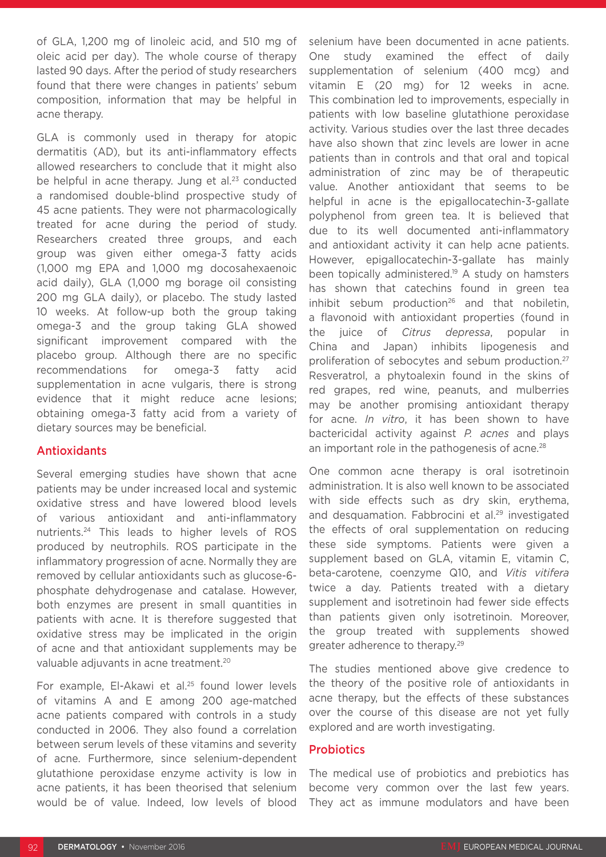of GLA, 1,200 mg of linoleic acid, and 510 mg of oleic acid per day). The whole course of therapy lasted 90 days. After the period of study researchers found that there were changes in patients' sebum composition, information that may be helpful in acne therapy.

GLA is commonly used in therapy for atopic dermatitis (AD), but its anti-inflammatory effects allowed researchers to conclude that it might also be helpful in acne therapy. Jung et al.<sup>23</sup> conducted a randomised double-blind prospective study of 45 acne patients. They were not pharmacologically treated for acne during the period of study. Researchers created three groups, and each group was given either omega-3 fatty acids (1,000 mg EPA and 1,000 mg docosahexaenoic acid daily), GLA (1,000 mg borage oil consisting 200 mg GLA daily), or placebo. The study lasted 10 weeks. At follow-up both the group taking omega-3 and the group taking GLA showed significant improvement compared with the placebo group. Although there are no specific recommendations for omega-3 fatty acid supplementation in acne vulgaris, there is strong evidence that it might reduce acne lesions; obtaining omega-3 fatty acid from a variety of dietary sources may be beneficial.

#### Antioxidants

Several emerging studies have shown that acne patients may be under increased local and systemic oxidative stress and have lowered blood levels of various antioxidant and anti-inflammatory nutrients.24 This leads to higher levels of ROS produced by neutrophils. ROS participate in the inflammatory progression of acne. Normally they are removed by cellular antioxidants such as glucose-6 phosphate dehydrogenase and catalase. However, both enzymes are present in small quantities in patients with acne. It is therefore suggested that oxidative stress may be implicated in the origin of acne and that antioxidant supplements may be valuable adjuvants in acne treatment.<sup>20</sup>

For example, El-Akawi et al.<sup>25</sup> found lower levels of vitamins A and E among 200 age-matched acne patients compared with controls in a study conducted in 2006. They also found a correlation between serum levels of these vitamins and severity of acne. Furthermore, since selenium-dependent glutathione peroxidase enzyme activity is low in acne patients, it has been theorised that selenium would be of value. Indeed, low levels of blood

selenium have been documented in acne patients. One study examined the effect of daily supplementation of selenium (400 mcg) and vitamin E (20 mg) for 12 weeks in acne. This combination led to improvements, especially in patients with low baseline glutathione peroxidase activity. Various studies over the last three decades have also shown that zinc levels are lower in acne patients than in controls and that oral and topical administration of zinc may be of therapeutic value. Another antioxidant that seems to be helpful in acne is the epigallocatechin-3-gallate polyphenol from green tea. It is believed that due to its well documented anti-inflammatory and antioxidant activity it can help acne patients. However, epigallocatechin-3-gallate has mainly been topically administered.<sup>19</sup> A study on hamsters has shown that catechins found in green tea inhibit sebum production<sup>26</sup> and that nobiletin, a flavonoid with antioxidant properties (found in the juice of *Citrus depressa*, popular in China and Japan) inhibits lipogenesis and proliferation of sebocytes and sebum production.<sup>27</sup> Resveratrol, a phytoalexin found in the skins of red grapes, red wine, peanuts, and mulberries may be another promising antioxidant therapy for acne. *In vitro*, it has been shown to have bactericidal activity against *P. acnes* and plays an important role in the pathogenesis of acne.<sup>28</sup>

One common acne therapy is oral isotretinoin administration. It is also well known to be associated with side effects such as dry skin, erythema, and desquamation. Fabbrocini et al.<sup>29</sup> investigated the effects of oral supplementation on reducing these side symptoms. Patients were given a supplement based on GLA, vitamin E, vitamin C, beta-carotene, coenzyme Q10, and *Vitis vitifera* twice a day. Patients treated with a dietary supplement and isotretinoin had fewer side effects than patients given only isotretinoin. Moreover, the group treated with supplements showed greater adherence to therapy.29

The studies mentioned above give credence to the theory of the positive role of antioxidants in acne therapy, but the effects of these substances over the course of this disease are not yet fully explored and are worth investigating.

#### **Probiotics**

The medical use of probiotics and prebiotics has become very common over the last few years. They act as immune modulators and have been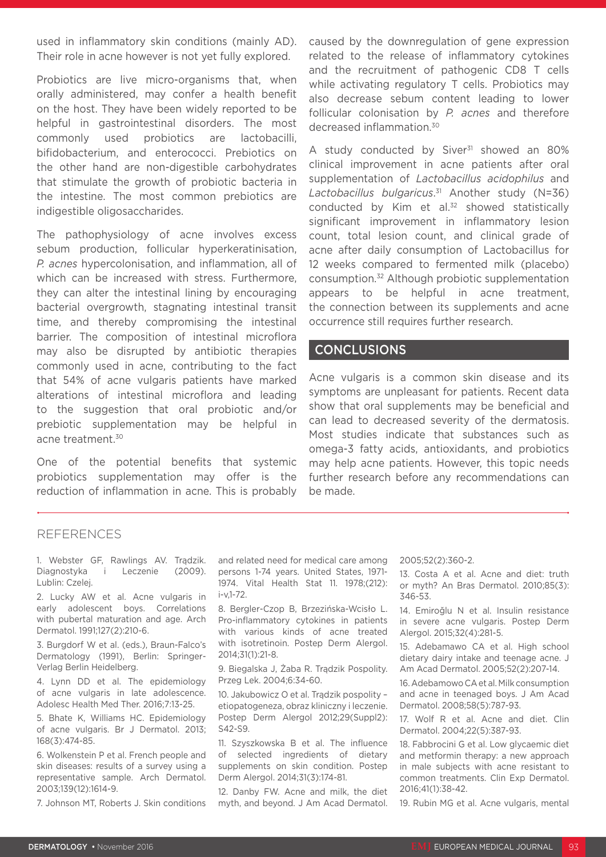used in inflammatory skin conditions (mainly AD). Their role in acne however is not yet fully explored.

Probiotics are live micro-organisms that, when orally administered, may confer a health benefit on the host. They have been widely reported to be helpful in gastrointestinal disorders. The most commonly used probiotics are lactobacilli, bifidobacterium, and enterococci. Prebiotics on the other hand are non-digestible carbohydrates that stimulate the growth of probiotic bacteria in the intestine. The most common prebiotics are indigestible oligosaccharides.

The pathophysiology of acne involves excess sebum production, follicular hyperkeratinisation, *P. acnes* hypercolonisation, and inflammation, all of which can be increased with stress. Furthermore, they can alter the intestinal lining by encouraging bacterial overgrowth, stagnating intestinal transit time, and thereby compromising the intestinal barrier. The composition of intestinal microflora may also be disrupted by antibiotic therapies commonly used in acne, contributing to the fact that 54% of acne vulgaris patients have marked alterations of intestinal microflora and leading to the suggestion that oral probiotic and/or prebiotic supplementation may be helpful in acne treatment.<sup>30</sup>

One of the potential benefits that systemic probiotics supplementation may offer is the reduction of inflammation in acne. This is probably caused by the downregulation of gene expression related to the release of inflammatory cytokines and the recruitment of pathogenic CD8 T cells while activating regulatory T cells. Probiotics may also decrease sebum content leading to lower follicular colonisation by *P. acnes* and therefore decreased inflammation.30

A study conducted by Siver<sup>31</sup> showed an 80% clinical improvement in acne patients after oral supplementation of *Lactobacillus acidophilus* and *Lactobacillus bulgaricus*. 31 Another study (N=36) conducted by Kim et al.<sup>32</sup> showed statistically significant improvement in inflammatory lesion count, total lesion count, and clinical grade of acne after daily consumption of Lactobacillus for 12 weeks compared to fermented milk (placebo) consumption.32 Although probiotic supplementation appears to be helpful in acne treatment, the connection between its supplements and acne occurrence still requires further research.

#### CONCLUSIONS

Acne vulgaris is a common skin disease and its symptoms are unpleasant for patients. Recent data show that oral supplements may be beneficial and can lead to decreased severity of the dermatosis. Most studies indicate that substances such as omega-3 fatty acids, antioxidants, and probiotics may help acne patients. However, this topic needs further research before any recommendations can be made.

#### REFERENCES

1. Webster GF, Rawlings AV. Trądzik. Diagnostyka i Leczenie (2009). Lublin: Czelej.

2. Lucky AW et al. Acne vulgaris in early adolescent boys. Correlations with pubertal maturation and age. Arch Dermatol. 1991;127(2):210-6.

3. Burgdorf W et al. (eds.), Braun-Falco's Dermatology (1991), Berlin: Springer-Verlag Berlin Heidelberg.

4. Lynn DD et al. The epidemiology of acne vulgaris in late adolescence. Adolesc Health Med Ther. 2016;7:13-25.

5. Bhate K, Williams HC. Epidemiology of acne vulgaris. Br J Dermatol. 2013; 168(3):474-85.

6. Wolkenstein P et al. French people and skin diseases: results of a survey using a representative sample. Arch Dermatol. 2003;139(12):1614-9.

7. Johnson MT, Roberts J. Skin conditions

and related need for medical care among persons 1-74 years. United States, 1971- 1974. Vital Health Stat 11. 1978;(212): i-v,1-72.

8. Bergler-Czop B, Brzezińska-Wcisło L. Pro-inflammatory cytokines in patients with various kinds of acne treated with isotretinoin. Postep Derm Alergol. 2014;31(1):21-8.

9. Biegalska J, Żaba R. Trądzik Pospolity. Przeg Lek. 2004;6:34-60.

10. Jakubowicz O et al. Trądzik pospolity – etiopatogeneza, obraz kliniczny i leczenie. Postep Derm Alergol 2012;29(Suppl2): S42-S9.

11. Szyszkowska B et al. The influence of selected ingredients of dietary supplements on skin condition. Postep Derm Alergol. 2014;31(3):174-81.

12. Danby FW. Acne and milk, the diet myth, and beyond. J Am Acad Dermatol.

#### 2005;52(2):360-2.

13. Costa A et al. Acne and diet: truth or myth? An Bras Dermatol. 2010;85(3): 346-53.

14. Emiroğlu N et al. Insulin resistance in severe acne vulgaris. Postep Derm Alergol. 2015;32(4):281-5.

15. Adebamawo CA et al. High school dietary dairy intake and teenage acne. J Am Acad Dermatol. 2005;52(2):207-14.

16. Adebamowo CA et al. Milk consumption and acne in teenaged boys. J Am Acad Dermatol. 2008;58(5):787-93.

17. Wolf R et al. Acne and diet. Clin Dermatol. 2004;22(5):387-93.

18. Fabbrocini G et al. Low glycaemic diet and metformin therapy: a new approach in male subjects with acne resistant to common treatments. Clin Exp Dermatol. 2016;41(1):38-42.

19. Rubin MG et al. Acne vulgaris, mental